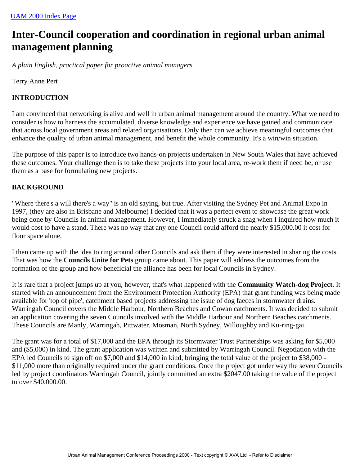# **Inter-Council cooperation and coordination in regional urban animal management planning**

*A plain English, practical paper for proactive animal managers*

Terry Anne Pert

# **INTRODUCTION**

I am convinced that networking is alive and well in urban animal management around the country. What we need to consider is how to harness the accumulated, diverse knowledge and experience we have gained and communicate that across local government areas and related organisations. Only then can we achieve meaningful outcomes that enhance the quality of urban animal management, and benefit the whole community. It's a win/win situation.

The purpose of this paper is to introduce two hands-on projects undertaken in New South Wales that have achieved these outcomes. Your challenge then is to take these projects into your local area, re-work them if need be, or use them as a base for formulating new projects.

## **BACKGROUND**

"Where there's a will there's a way" is an old saying, but true. After visiting the Sydney Pet and Animal Expo in 1997, (they are also in Brisbane and Melbourne) I decided that it was a perfect event to showcase the great work being done by Councils in animal management. However, I immediately struck a snag when I inquired how much it would cost to have a stand. There was no way that any one Council could afford the nearly \$15,000.00 it cost for floor space alone.

I then came up with the idea to ring around other Councils and ask them if they were interested in sharing the costs. That was how the **Councils Unite for Pets** group came about. This paper will address the outcomes from the formation of the group and how beneficial the alliance has been for local Councils in Sydney.

It is rare that a project jumps up at you, however, that's what happened with the **Community Watch-dog Project.** It started with an announcement from the Environment Protection Authority (EPA) that grant funding was being made available for 'top of pipe', catchment based projects addressing the issue of dog faeces in stormwater drains. Warringah Council covers the Middle Harbour, Northern Beaches and Cowan catchments. It was decided to submit an application covering the seven Councils involved with the Middle Harbour and Northern Beaches catchments. These Councils are Manly, Warringah, Pittwater, Mosman, North Sydney, Willoughby and Ku-ring-gai.

The grant was for a total of \$17,000 and the EPA through its Stormwater Trust Partnerships was asking for \$5,000 and (\$5,000) in kind. The grant application was written and submitted by Warringah Council. Negotiation with the EPA led Councils to sign off on \$7,000 and \$14,000 in kind, bringing the total value of the project to \$38,000 - \$11,000 more than originally required under the grant conditions. Once the project got under way the seven Councils led by project coordinators Warringah Council, jointly committed an extra \$2047.00 taking the value of the project to over \$40,000.00.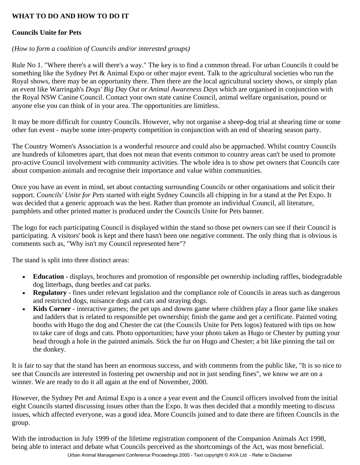# **WHAT TO DO AND HOW TO DO IT**

# **Councils Unite for Pets**

## *(How to form a coalition of Councils and/or interested groups)*

Rule No 1. "Where there's a will there's a way." The key is to find a common thread. For urban Councils it could be something like the Sydney Pet & Animal Expo or other major event. Talk to the agricultural societies who run the Royal shows, there may be an opportunity there. Then there are the local agricultural society shows, or simply plan an event like Warringah's *Dogs' Big Day Out* or *Animal Awareness Days* which are organised in conjunction with the Royal NSW Canine Council. Contact your own state canine Council, animal welfare organisation, pound or anyone else you can think of in your area. The opportunities are limitless.

It may be more difficult for country Councils. However, why not organise a sheep-dog trial at shearing time or some other fun event - maybe some inter-property competition in conjunction with an end of shearing season party.

The Country Women's Association is a wonderful resource and could also be approached. Whilst country Councils are hundreds of kilometres apart, that does not mean that events common to country areas can't be used to promote pro-active Council involvement with community activities. The whole idea is to show pet owners that Councils care about companion animals and recognise their importance and value within communities.

Once you have an event in mind, set about contacting surrounding Councils or other organisations and solicit their support. *Councils' Unite for Pets* started with eight Sydney Councils all chipping in for a stand at the Pet Expo. It was decided that a generic approach was the best. Rather than promote an individual Council, all literature, pamphlets and other printed matter is produced under the Councils Unite for Pets banner.

The logo for each participating Council is displayed within the stand so those pet owners can see if their Council is participating. A visitors' book is kept and there hasn't been one negative comment. The only thing that is obvious is comments such as, "Why isn't my Council represented here"?

The stand is split into three distinct areas:

- **Education -** displays, brochures and promotion of responsible pet ownership including raffles, biodegradable dog litterbags, dung beetles and cat parks.
- **Regulatory** fines under relevant legislation and the compliance role of Councils in areas such as dangerous and restricted dogs, nuisance dogs and cats and straying dogs.
- **Kids Corner** interactive games; the pet ups and downs game where children play a floor game like snakes and ladders that is related to responsible pet ownership; finish the game and get a certificate. Painted voting booths with Hugo the dog and Chester the cat (the Councils Unite for Pets logos) featured with tips on how to take care of dogs and cats. Photo opportunities; have your photo taken as Hugo or Chester by putting your head through a hole in the painted animals. Stick the fur on Hugo and Chester; a bit like pinning the tail on the donkey.

It is fair to say that the stand has been an enormous success, and with comments from the public like, "It is so nice to see that Councils are interested in fostering pet ownership and not in just sending fines", we know we are on a winner. We are ready to do it all again at the end of November, 2000.

However, the Sydney Pet and Animal Expo is a once a year event and the Council officers involved from the initial eight Councils started discussing issues other than the Expo. It was then decided that a monthly meeting to discuss issues, which affected everyone, was a good idea. More Councils joined and to date there are fifteen Councils in the group.

With the introduction in July 1999 of the lifetime registration component of the Companion Animals Act 1998, being able to interact and debate what Councils perceived as the shortcomings of the Act, was most beneficial.

Urban Animal Management Conference Proceedings 2000 - Text copyright © AVA Ltd - Refer to Disclaimer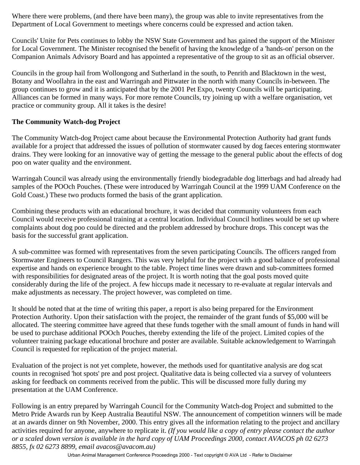Where there were problems, (and there have been many), the group was able to invite representatives from the Department of Local Government to meetings where concerns could be expressed and action taken.

Councils' Unite for Pets continues to lobby the NSW State Government and has gained the support of the Minister for Local Government. The Minister recognised the benefit of having the knowledge of a 'hands-on' person on the Companion Animals Advisory Board and has appointed a representative of the group to sit as an official observer.

Councils in the group hail from Wollongong and Sutherland in the south, to Penrith and Blacktown in the west, Botany and Woollahra in the east and Warringah and Pittwater in the north with many Councils in-between. The group continues to grow and it is anticipated that by the 2001 Pet Expo, twenty Councils will be participating. Alliances can be formed in many ways. For more remote Councils, try joining up with a welfare organisation, vet practice or community group. All it takes is the desire!

## **The Community Watch-dog Project**

The Community Watch-dog Project came about because the Environmental Protection Authority had grant funds available for a project that addressed the issues of pollution of stormwater caused by dog faeces entering stormwater drains. They were looking for an innovative way of getting the message to the general public about the effects of dog poo on water quality and the environment.

Warringah Council was already using the environmentally friendly biodegradable dog litterbags and had already had samples of the POOch Pouches. (These were introduced by Warringah Council at the 1999 UAM Conference on the Gold Coast.) These two products formed the basis of the grant application.

Combining these products with an educational brochure, it was decided that community volunteers from each Council would receive professional training at a central location. Individual Council hotlines would be set up where complaints about dog poo could be directed and the problem addressed by brochure drops. This concept was the basis for the successful grant application.

A sub-committee was formed with representatives from the seven participating Councils. The officers ranged from Stormwater Engineers to Council Rangers. This was very helpful for the project with a good balance of professional expertise and hands on experience brought to the table. Project time lines were drawn and sub-committees formed with responsibilities for designated areas of the project. It is worth noting that the goal posts moved quite considerably during the life of the project. A few hiccups made it necessary to re-evaluate at regular intervals and make adjustments as necessary. The project however, was completed on time.

It should be noted that at the time of writing this paper, a report is also being prepared for the Environment Protection Authority. Upon their satisfaction with the project, the remainder of the grant funds of \$5,000 will be allocated. The steering committee have agreed that these funds together with the small amount of funds in hand will be used to purchase additional POOch Pouches, thereby extending the life of the project. Limited copies of the volunteer training package educational brochure and poster are available. Suitable acknowledgement to Warringah Council is requested for replication of the project material.

Evaluation of the project is not yet complete, however, the methods used for quantitative analysis are dog scat counts in recognised 'hot spots' pre and post project. Qualitative data is being collected via a survey of volunteers asking for feedback on comments received from the public. This will be discussed more fully during my presentation at the UAM Conference.

Following is an entry prepared by Warringah Council for the Community Watch-dog Project and submitted to the Metro Pride Awards run by Keep Australia Beautiful NSW. The announcement of competition winners will be made at an awards dinner on 9th November, 2000. This entry gives all the information relating to the project and ancillary activities required for anyone, anywhere to replicate it. *(If you would like a copy of entry please contact the author or a scaled down version is available in the hard copy of UAM Proceedings 2000, contact AVACOS ph 02 6273 8855, fx 02 6273 8899, email avacos@avacom.au)*